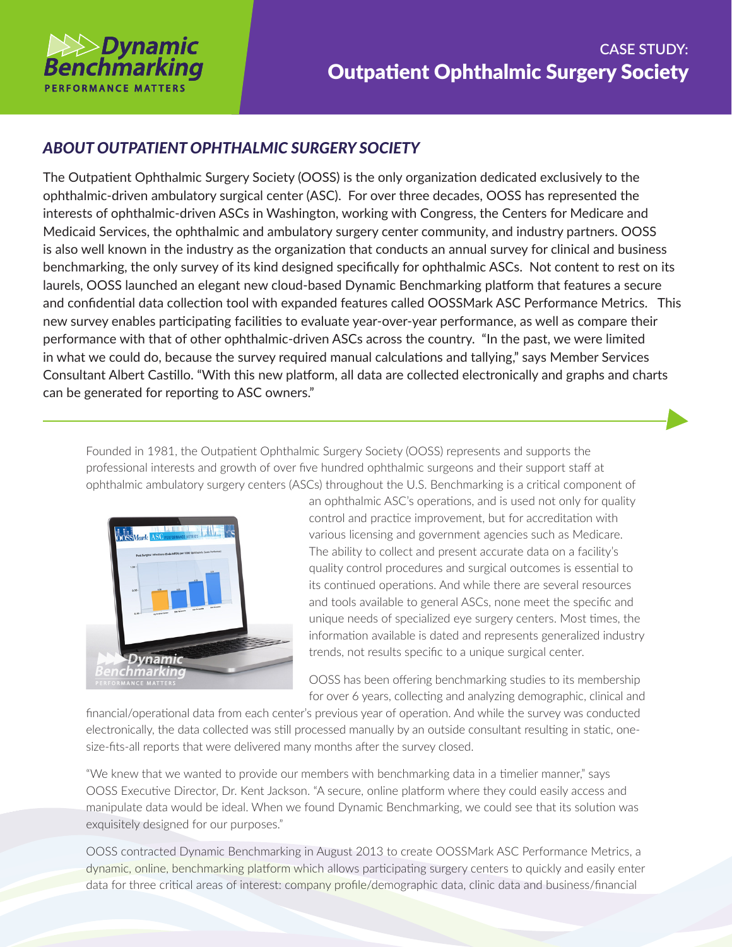

## *ABOUT OUTPATIENT OPHTHALMIC SURGERY SOCIETY*

The Outpatient Ophthalmic Surgery Society (OOSS) is the only organization dedicated exclusively to the ophthalmic-driven ambulatory surgical center (ASC). For over three decades, OOSS has represented the interests of ophthalmic-driven ASCs in Washington, working with Congress, the Centers for Medicare and Medicaid Services, the ophthalmic and ambulatory surgery center community, and industry partners. OOSS is also well known in the industry as the organization that conducts an annual survey for clinical and business benchmarking, the only survey of its kind designed specifically for ophthalmic ASCs. Not content to rest on its laurels, OOSS launched an elegant new cloud-based Dynamic Benchmarking platform that features a secure and confidential data collection tool with expanded features called OOSSMark ASC Performance Metrics. This new survey enables participating facilities to evaluate year-over-year performance, as well as compare their performance with that of other ophthalmic-driven ASCs across the country. "In the past, we were limited in what we could do, because the survey required manual calculations and tallying," says Member Services Consultant Albert Castillo. "With this new platform, all data are collected electronically and graphs and charts can be generated for reporting to ASC owners."

Founded in 1981, the Outpatient Ophthalmic Surgery Society (OOSS) represents and supports the professional interests and growth of over five hundred ophthalmic surgeons and their support staff at ophthalmic ambulatory surgery centers (ASCs) throughout the U.S. Benchmarking is a critical component of



an ophthalmic ASC's operations, and is used not only for quality control and practice improvement, but for accreditation with various licensing and government agencies such as Medicare. The ability to collect and present accurate data on a facility's quality control procedures and surgical outcomes is essential to its continued operations. And while there are several resources and tools available to general ASCs, none meet the specific and unique needs of specialized eye surgery centers. Most times, the information available is dated and represents generalized industry trends, not results specific to a unique surgical center.

OOSS has been offering benchmarking studies to its membership for over 6 years, collecting and analyzing demographic, clinical and

financial/operational data from each center's previous year of operation. And while the survey was conducted electronically, the data collected was still processed manually by an outside consultant resulting in static, onesize-fits-all reports that were delivered many months after the survey closed.

"We knew that we wanted to provide our members with benchmarking data in a timelier manner," says OOSS Executive Director, Dr. Kent Jackson. "A secure, online platform where they could easily access and manipulate data would be ideal. When we found Dynamic Benchmarking, we could see that its solution was exquisitely designed for our purposes."

OOSS contracted Dynamic Benchmarking in August 2013 to create OOSSMark ASC Performance Metrics, a dynamic, online, benchmarking platform which allows participating surgery centers to quickly and easily enter data for three critical areas of interest: company profile/demographic data, clinic data and business/financial